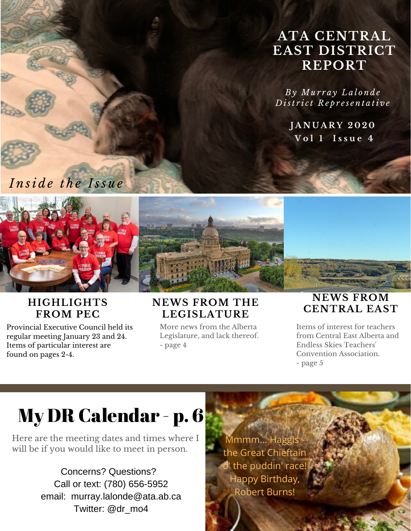#### **ATA CENTRAL EAST DISTRICT REPORT**

*B y Mu r r a y L a l o n d e D ist r i c t R e p r e s e n t a ti v e*

> **J A N U A R Y 2 0 2 0 V o l 1 I s s u e 4**

*I n si d e t h e I ss u e*



#### **HIGHLIGHTS FROM PEC**

Provincial Executive Council held its regular meeting January 23 and 24. Items of particular interest are found on pages 2-4.

#### **NEWS FROM THE LEGISLATURE**

More news from the Alberta Legislature, and lack thereof. - page 4

#### **NEWS FROM CENTRAL EAST**

Items of interest for teachers from Central East Alberta and Endless Skies Teachers 'Convention Association. - page 5

# My DR Calendar - p. 6

Here are the meeting dates and times where I will be if you would like to meet in person.

> Concerns? Questions? Call or text: (780) 656-5952 email: murray.lalonde@ata.ab.ca Twitter: @dr\_mo4

Mmmm... Haggis the Great Chieftain  $\overline{\mathsf{o}'}$  the puddin' race Happy Birthday, Robert Burns!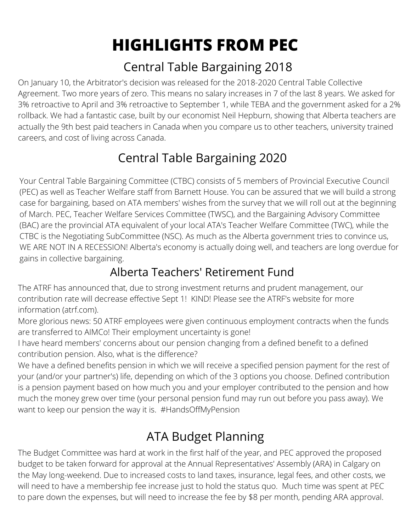# **HIGHLIGHTS FROM PEC**

#### Central Table Bargaining 2018

On January 10, the Arbitrator's decision was released for the 2018-2020 Central Table Collective Agreement. Two more years of zero. This means no salary increases in 7 of the last 8 years. We asked for 3% retroactive to April and 3% retroactive to September 1, while TEBA and the government asked for a 2% rollback. We had a fantastic case, built by our economist Neil Hepburn, showing that Alberta teachers are actually the 9th best paid teachers in Canada when you compare us to other teachers, university trained careers, and cost of living across Canada.

### Central Table Bargaining 2020

Your Central Table Bargaining Committee (CTBC) consists of 5 members of Provincial Executive Council (PEC) as well as Teacher Welfare staff from Barnett House. You can be assured that we will build a strong case for bargaining, based on ATA members' wishes from the survey that we will roll out at the beginning of March. PEC, Teacher Welfare Services Committee (TWSC), and the Bargaining Advisory Committee (BAC) are the provincial ATA equivalent of your local ATA's Teacher Welfare Committee (TWC), while the CTBC is the Negotiating SubCommittee (NSC). As much as the Alberta government tries to convince us, WE ARE NOT IN A RECESSION! Alberta's economy is actually doing well, and teachers are long overdue for gains in collective bargaining.

#### Alberta Teachers' Retirement Fund

The ATRF has announced that, due to strong investment returns and prudent management, our contribution rate will decrease effective Sept 1! KIND! Please see the ATRF's website for more information (atrf.com).

More glorious news: 50 ATRF employees were given continuous employment contracts when the funds are transferred to AIMCo! Their employment uncertainty is gone!

I have heard members' concerns about our pension changing from a defined benefit to a defined contribution pension. Also, what is the difference?

We have a defined benefits pension in which we will receive a specified pension payment for the rest of your (and/or your partner's) life, depending on which of the 3 options you choose. Defined contribution is a pension payment based on how much you and your employer contributed to the pension and how much the money grew over time (your personal pension fund may run out before you pass away). We want to keep our pension the way it is. #HandsOffMyPension

#### ATA Budget Planning

The Budget Committee was hard at work in the first half of the year, and PEC approved the proposed budget to be taken forward for approval at the Annual Representatives' Assembly (ARA) in Calgary on the May long-weekend. Due to increased costs to land taxes, insurance, legal fees, and other costs, we will need to have a membership fee increase just to hold the status quo. Much time was spent at PEC to pare down the expenses, but will need to increase the fee by \$8 per month, pending ARA approval.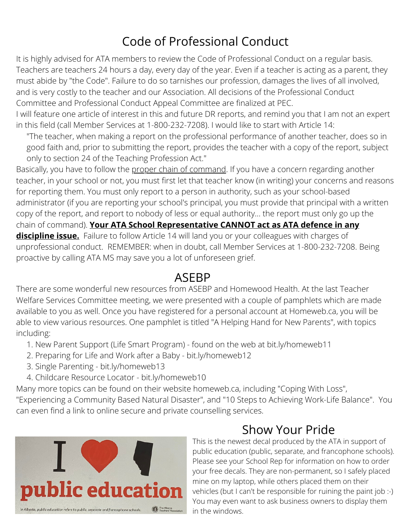#### Code of Professional Conduct

It is highly advised for ATA members to review the Code of Professional Conduct on a regular basis. Teachers are teachers 24 hours a day, every day of the year. Even if a teacher is acting as a parent, they must abide by "the Code". Failure to do so tarnishes our profession, damages the lives of all involved, and is very costly to the teacher and our Association. All decisions of the Professional Conduct Committee and Professional Conduct Appeal Committee are finalized at PEC.

I will feature one article of interest in this and future DR reports, and remind you that I am not an expert in this field (call Member Services at 1-800-232-7208). I would like to start with Article 14:

"The teacher, when making a report on the professional performance of another teacher, does so in good faith and, prior to submitting the report, provides the teacher with a copy of the report, subject only to section 24 of the Teaching Profession Act."

Basically, you have to follow the proper chain of command. If you have a concern regarding another teacher, in your school or not, you must first let that teacher know (in writing) your concerns and reasons for reporting them. You must only report to a person in authority, such as your school-based administrator (if you are reporting your school's principal, you must provide that principal with a written copy of the report, and report to nobody of less or equal authority... the report must only go up the chain of command). **Your ATA School Representative CANNOT act as ATA defence in any discipline issue.** Failure to follow Article 14 will land you or your colleagues with charges of unprofessional conduct. REMEMBER: when in doubt, call Member Services at 1-800-232-7208. Being proactive by calling ATA MS may save you a lot of unforeseen grief.

#### ASEBP

There are some wonderful new resources from ASEBP and Homewood Health. At the last Teacher Welfare Services Committee meeting, we were presented with a couple of pamphlets which are made available to you as well. Once you have registered for a personal account at Homeweb.ca, you will be able to view various resources. One pamphlet is titled "A Helping Hand for New Parents", with topics including:

- 1. New Parent Support (Life Smart Program) found on the web at bit.ly/homeweb11
- 2. Preparing for Life and Work after a Baby bit.ly/homeweb12
- 3. Single Parenting bit.ly/homeweb13
- 4. Childcare Resource Locator bit.ly/homeweb10

Many more topics can be found on their website homeweb.ca, including "Coping With Loss", "Experiencing a Community Based Natural Disaster", and "10 Steps to Achieving Work-Life Balance". You can even find a link to online secure and private counselling services.



### Show Your Pride

This is the newest decal produced by the ATA in support of public education (public, separate, and francophone schools). Please see your School Rep for information on how to order your free decals. They are non-permanent, so I safely placed mine on my laptop, while others placed them on their vehicles (but I can't be responsible for ruining the paint job :-) You may even want to ask business owners to display them in the windows.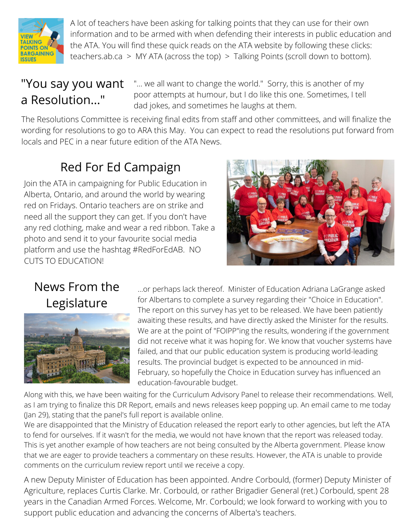

A lot of teachers have been asking for talking points that they can use for their own information and to be armed with when defending their interests in public education and the ATA. You will find these quick reads on the ATA website by following these clicks: teachers.ab.ca  $>$  MY ATA (across the top)  $>$  Talking Points (scroll down to bottom).

#### "You say you want a Resolution..."

"... we all want to change the world." Sorry, this is another of my poor attempts at humour, but I do like this one. Sometimes, I tell dad jokes, and sometimes he laughs at them.

The Resolutions Committee is receiving final edits from staff and other committees, and will finalize the wording for resolutions to go to ARA this May. You can expect to read the resolutions put forward from locals and PEC in a near future edition of the ATA News.

### Red For Ed Campaign

Join the ATA in campaigning for Public Education in Alberta, Ontario, and around the world by wearing red on Fridays. Ontario teachers are on strike and need all the support they can get. If you don't have any red clothing, make and wear a red ribbon. Take a photo and send it to your favourite social media platform and use the hashtag #RedForEdAB. NO CUTS TO EDUCATION!



#### News From the Legislature



...or perhaps lack thereof. Minister of Education Adriana LaGrange asked for Albertans to complete a survey regarding their "Choice in Education". The report on this survey has yet to be released. We have been patiently awaiting these results, and have directly asked the Minister for the results. We are at the point of "FOIPP"ing the results, wondering if the government did not receive what it was hoping for. We know that voucher systems have failed, and that our public education system is producing world-leading results. The provincial budget is expected to be announced in mid-February, so hopefully the Choice in Education survey has influenced an education-favourable budget.

Along with this, we have been waiting for the Curriculum Advisory Panel to release their recommendations. Well, as I am trying to finalize this DR Report, emails and news releases keep popping up. An email came to me today (Jan 29), stating that the panel's full report is available online.

We are disappointed that the Ministry of Education released the report early to other agencies, but left the ATA to fend for ourselves. If it wasn't for the media, we would not have known that the report was released today. This is yet another example of how teachers are not being consulted by the Alberta government. Please know that we are eager to provide teachers a commentary on these results. However, the ATA is unable to provide comments on the curriculum review report until we receive a copy.

A new Deputy Minister of Education has been appointed. Andre Corbould, (former) Deputy Minister of Agriculture, replaces Curtis Clarke. Mr. Corbould, or rather Brigadier General (ret.) Corbould, spent 28 years in the Canadian Armed Forces. Welcome, Mr. Corbould; we look forward to working with you to support public education and advancing the concerns of Alberta's teachers.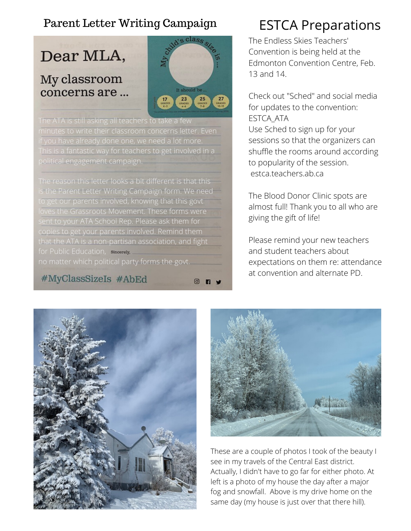#### Parent Letter Writing Campaign ESTCA Preparations

Dear MLA,

#### My classroom concerns are ...



The ATA is still asking all teachers to take a few minutes to write their classroom concerns letter. Even if you have already done one, we need a lot more. This is a fantastic way for teachers to get involved in a political engagement campaign.

The reason this letter looks a bit different is that this s the Parent Letter Writing Campaign form. We need to get our parents involved, knowing that this govt loves the Grassroots Movement. These forms were copies to get your parents involved. Remind them that the ATA is a non-partisan association, and fight for Public Education, sincerely.

no matter which political party forms the govt.

#### #MyClassSizeIs #AbEd

 $\circledcirc$ 

The Endless Skies Teachers' Convention is being held at the Edmonton Convention Centre, Feb. 13 and 14.

Check out "Sched" and social media for updates to the convention: ESTCA\_ATA Use Sched to sign up for your sessions so that the organizers can shuffle the rooms around according to popularity of the session. estca.teachers.ab.ca

The Blood Donor Clinic spots are almost full! Thank you to all who are giving the gift of life!

Please remind your new teachers and student teachers about expectations on them re: attendance at convention and alternate PD.





These are a couple of photos I took of the beauty I see in my travels of the Central East district. Actually, I didn't have to go far for either photo. At left is a photo of my house the day after a major fog and snowfall. Above is my drive home on the same day (my house is just over that there hill).